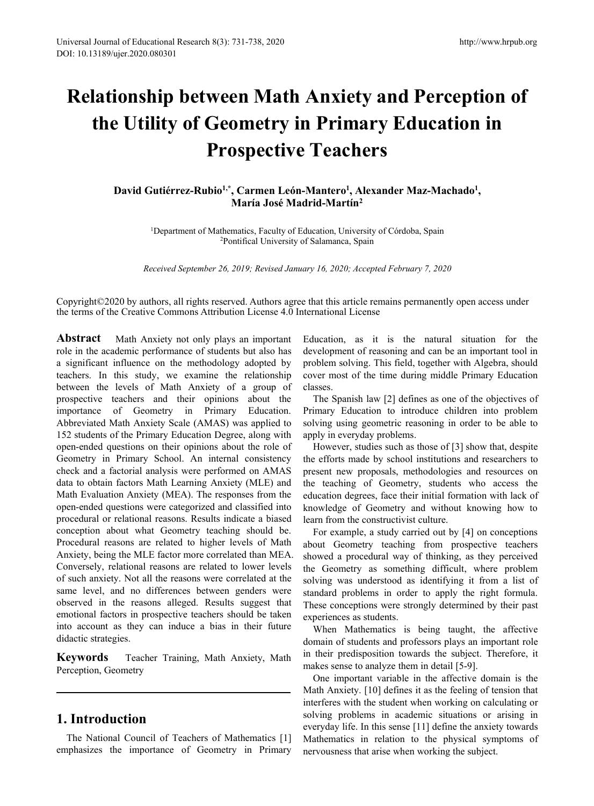# iversal Journal of Educational Research 8(3): 731-738, 2020<br>
11: 10.13189/ujer.2020.080301<br> **Relationship between Math Anxiety and Perception of**<br> **the Utility of Geometry in Primary Education in<br>
Prospective Teachers**<br>
Da **the Utility of Geometry in Primary Education in**<br> **lationship between Math Anxiety and Perception of**<br> **the Utility of Geometry in Primary Education in**<br> **Prospective Teachers**<br>
David Gutiérrez-Rubio<sup>1,\*</sup>, Carmen León-Man h 8(3): 731-738, 2020<br> **Ween Math Anxiety and Perception of<br>
Geometry in Primary Education in<br>
Prospective Teachers<br>
bio<sup>1,\*</sup>, Carmen León-Mantero<sup>1</sup>, Alexander Maz-Machado<sup>1</sup>,<br>
María José Madrid-Martín<sup>2</sup><br>
<sup>2</sup>Pontifical U** Research 8(3): 731-738, 2020<br> **Cavid Guier.2020.080301**<br> **David Detween Math Anxiety and Perce**<br> **Prospective Teachers**<br>
David Gutiérrez-Rubio<sup>l,\*</sup>, Carmen León-Mantero<sup>1</sup>, Alexander Maz-Mac<br>
María José Madrid-Martín<sup>2</sup><br>
<sup></sup> http://www.hrpub.org<br> **ety and Perception of<br>
<b>nary Education in**<br> **hers**<br> **, Alexander Maz-Machado<sup>1</sup>,<br>
fin<sup>2</sup><br>
iversity of Córdoba, Spain<br>
. Spain** <sup>http://www.hrpub.or<br> **en Math Anxiety and Perception of**<br> **ometry in Primary Education in**<br> **Dspective Teachers**<br>
, Carmen León-Mantero<sup>1</sup>, Alexander Maz-Machado<sup>1</sup>,<br>
María José Madrid-Martín<sup>2</sup><br>
matics, Faculty of Educat</sup> 11P DEWEEH MAILI AILAIELY AND F ET CEPLION OF<br>
11P Of Geometry in Primary Education in<br>
Prospective Teachers<br>
31 Sutiérrez-Rubio<sup>1,\*</sup>, Carmen León-Mantero<sup>1</sup>, Alexander Maz-Machado<sup>1</sup>,<br>
<sup>1</sup>Department of Mathematics, Facult **1997 the Utility of Geometry in Primary Education in**<br>**Prospective Teachers**<br>David Gutiérrez-Rubio<sup>1,\*</sup>, Carmen León-Mantero<sup>1</sup>, Alexander Maz-Machado<sup>1</sup>,<br>María José Madrid-Martín<sup>2</sup><br><sup>1</sup>Department of Mathematics, Faculty **Prospective Teachers**<br> *Gutiérrez-Rubio<sup>1,\*</sup>, Carmen León-Mantero<sup>1</sup>, Alexander Maz-Machado<sup>1</sup>,<br>
<i>María José Madrid-Martín<sup>2</sup>*<br>
<sup>2</sup>Popartment of Mathematics, Faculty of Education, University of Córdoba, Spain<br> *Received S*

COPPCCLIVE I CACTICT 5<br>
David Gutiérrez-Rubio<sup>1,\*</sup>, Carmen León-Mantero<sup>1</sup>, Alexander Maz-Machado<sup>1</sup>,<br>
María José Madrid-Martín<sup>2</sup><br>
<sup>2</sup>Department of Mathematics, Faculty of Education, University of Córdoba, Spain<br>
<sup>2</sup>Port David Gutiérrez-Rubio<sup>1,\*</sup>, Carmen León-Mantero<sup>1</sup>, Alexander Maz-Machado<sup>1</sup>,<br>María José Madrid-Martín<sup>2</sup><br><sup>2</sup>Pontifical University of Education, University of Córdoba, Spain<br><sup>2</sup>Pontifical University of Salamanea, Spain<br>*Re* 

**Abstract** Math Anxiety not only plays an important Education, University of Córd<sup>2</sup>Pontifical University of Education, University of Córd<sup>2</sup>Pontifical University of Salamanca, Spain<br>*Received September 26, 2019; Revised J* **Example 19 Example 19 Example 19 Example 19 Example 19 Example 19 Example 19 Example 19 Example 19 Example 19 Example 19 Example 19 Example 19 Example 19 Example 19 Example 19 Example 19 Example 19 Example 19 Example 19 E** <sup>1</sup>Department of Mathematics, Faculty of Education, University of Córdoba, Sp.<br><sup>2</sup>Pontifical University of Salamanca, Spain<br><sup>2</sup>Pontifical University of Salamanca, Spain<br>*Received September 26, 2019; Revised January 16, 20* <sup>1</sup>Department of Mathematics, Faculty of Education, University of Co<sup>2</sup>Pontifical University of Salamanca, Spain<br><sup>2</sup>Pontifical University of Salamanca, Spain<br>*Received September 26, 2019; Revised January 16, 2020; Accepte* <sup>2</sup>Pontifical University of Salamanca, Spain<br><sup>2</sup>Pontifical University of Salamanca, Spain<br><sup>2</sup>Nopyright©2020 by authors, all rights reserved. Authors agree that this article remains permane<br><sup>2</sup>the terms of the Creative Com Received September 26, 2019; Revised January 16, 2020; Accepted February 7,<br>Copyright©2020 by authors, all rights reserved. Authors agree that this article remains perman<br>the terms of the Creative Commons Attribution Licen Received September 26, 2019; Revised January 16, 2020; Accepted Feb<br>
Copyright©2020 by authors, all rights reserved. Authors agree that this article remains<br>
the terms of the Creative Commons Attribution License 4.0 Intern Copyright©2020 by authors, all rights reserved. Authors agree that this article remains permane<br>the terms of the Creative Commons Attribution License 4.0 International License<br>**Abstract** Math Anxiety not only plays an impo Copyright©2020 by authors, all rights reserved. Authors agree that this article remains permate the terms of the Creative Commons Attribution License 4.0 International License<br> **Abstract** Math Anxiety not only plays an imp Copyright©2020 by authors, all rights reserved. Authors agree that this article remains permane<br>the terms of the Creative Commons Attribution License 4.0 International License<br>**Abstract** Math Anxiety not only plays an impo the terms of the Creative Commons Attribution License 4.0 International License<br> **Abstract** Math Anxiety not only plays an important Education, as it is<br>
role in the academic performance of students but also has developmen **Abstract** Math Anxiety not only plays an important Education, as it is the role in the academic performance of students but also has development of reasoning a a significant influence on the methodology adopted by problem **Abstract** Math Anxiety not only plays an important Education, as it is the nate in the academic performance of students but also has development of reasoning and a significant influence on the methodology adopted by probl role in the academic performance of students but also has development of reasoning and c<br>a significant influence on the methodology adopted by problem solving. This field, tog<br>teachers. In this study, we examine the relati a significant influence on the methodology adopted by problem solving. This field, tog<br>teachers. In this study, we examine the relationship cover most of the time during<br>between the levels of Math Anxiety of a group of cla teachers. In this study, we examine the relationship cover most of the time durine between the levels of Math Anxiety of a group of classes.<br>
prospective teachers and their opinions about the The Spanish law [2] definited between the levels of Math Anxiety of a group of classes.<br>
prospective teachers and their opinions about the The Spanish law [2] defines<br>
importance of Geometry in Primary Education. Primary Education to introduce<br>
Abbrevi prospective teachers and their opinions about the The Spanish law [2] define<br>importance of Geometry in Primary Education. Primary Education to introd<br>Abbreviated Math Anxiety Scale (AMAS) was applied to solving using geome importance of Geometry in Primary Education. Primary Education to introcal above a standard distants of the Primary Education Degree, along with apply in everyday problems.<br>
152 students of the Primary Education Degree, al Abbreviated Math Anxiety Scale (AMAS) was applied to solving using geometric reas<br>
152 students of the Primary Education Degree, along with apply in everyday problems.<br>
open-ended questions on their opinions about the role 152 students of the Primary Education Degree, along with apply in everyday problems.<br>
open-ended questions on their opinions about the role of However, studies such as thos<br>
Geometry in Primary School. An internal consiste open-ended questions on their opinions about the role of However, studies such as the Geometry in Primary School. An internal consistency the efforts made by school in check and a factorial analysis were performed on AMAS Geometry in Primary School. An internal consistency the efforts made by school insteheck and a factorial analysis were performed on AMAS present new proposals, method ata to obtain factors Math Learning Anxiety (MLE) and t check and a factorial analysis were performed on AMAS present new proposals, meth<br>data to obtain factors Math Learning Anxiety (MLE) and the teaching of Geometry,<br>Math Evaluation Anxiety (MEA). The responses from the educa data to obtain factors Math Learning Anxiety (MLE) and the teaching of Geometry,<br>Math Evaluation Anxiety (MEA). The responses from the education degrees, face their<br>open-ended questions were categorized and classified into Math Evaluation Anxiety (MEA). The respons<br>open-ended questions were categorized and cla<br>procedural or relational reasons. Results indica<br>conception about what Geometry teaching<br>Procedural reasons are related to higher lev Frocedural or relational reasons. Results indicate a biased learn from the constructivist conception about what Geometry teaching should be. For example, a study carrier Procedural reasons are related to higher levels of M procedual of relational reasons. Resains included<br>conception, about what Geometry teaching she<br>Procedural reasons are related to higher levels<br>Anxiety, being the MLE factor more correlated the<br>Conversely, relational reason open-ended questions were categoinzed and classmed mini-<br>procedural or relational reasons. Results indicate a biased<br>conception about what Geometry teaching should be.<br>Procedural reasons are related to higher levels of Mat me level, and no differences between genders were standard problems in order to<br>served in the reasons alleged. Results suggest that These conceptions were strongly<br>obtained factors in prospective teachers should be taken e depend in the reasons alleged. Results suggest that These conceptions were stream<br>
emotional factors in prospective teachers should be taken experiences as students.<br>
into account as they can induce a bias in their future

Entricoral Schemator Material Correlation<br>
Arid-Martin<sup>2</sup><br>
ducation, University of Córdoba, Spain<br>
f Salamanca, Spain<br>
ary 16, 2020; Accepted February 7, 2020<br>
e that this article remains permanently open access under<br>
Edu **ducation**, University of Córdoba, Spain<br> *ducation*, University of Córdoba, Spain<br> *ary 16, 2020; Accepted February 7, 2020*<br> **e** that this article remains permanently open access under<br> **terrational License**<br>
Education, ducation, University of Córdoba, Spain<br> *ary 16, 2020; Accepted February 7, 2020*<br>
e that this article remains permanently open access under<br>
ternational License<br>
Education, as it is the natural situation for the<br>
developm ducation, University of Córdoba, Spain<br> *ary 16, 2020; Accepted February 7, 2020*<br>
e that this article remains permanently open access under<br>
ternational License<br>
Education, as it is the natural situation for the<br>
developm classes. *n* 16, 2020; *Accepted February* 7, 2020<br>
hat this article remains permanently open access under<br>
rational License<br>
lucation, as it is the natural situation for the<br>
velopment of reasoning and can be an important tool in ary 16, 2020; Accepted February 7, 2020<br>
e that this article remains permanently open access under<br>
ternational License<br>
Education, as it is the natural situation for the<br>
development of reasoning and can be an important t is that this article remains permanently open access under<br>ternational License<br>Education, as it is the natural situation for the<br>development of reasoning and can be an important tool in<br>problem solving. This field, togethe e that this article remains permanently open access under<br>ternational License<br>Education, as it is the natural situation for the<br>development of reasoning and can be an important tool<br>problem solving. This field, together wi hat this article remains permanently open access under<br>mational License<br>lucation, as it is the natural situation for the<br>velopment of reasoning and can be an important tool in<br>oblem solving. This field, together with Algeb

ternational License<br>Education, as it is the natural situation for the<br>development of reasoning and can be an important tool in<br>problem solving. This field, together with Algebra, should<br>cover most of the time during middle Education, as it is the natural situation for the<br>development of reasoning and can be an important tool in<br>problem solving. This field, together with Algebra, should<br>cover most of the time during middle Primary Education<br>c Education, as it is the natural situation for the<br>development of reasoning and can be an important tool in<br>problem solving. This field, together with Algebra, should<br>cover most of the time during middle Primary Education<br> development of reasoning and can be an important tool in<br>problem solving. This field, together with Algebra, should<br>cover most of the time during middle Primary Education<br>classes.<br>The Spanish law [2] defines as one of the problem solving. This field, together with Algebra, should<br>cover most of the time during middle Primary Education<br>classes.<br>The Spanish law [2] defines as one of the objectives of<br>Primary Education to introduce children int cover most of the time during middle Primary Education<br>classes.<br>The Spanish law [2] defines as one of the objectives of<br>Primary Education to introduce children into problem<br>solving using geometric reasoning in order to be ssess.<br>The Spanish law [2] defines as one of the objectives of<br>imary Education to introduce children into problem<br>lying using geometric reasoning in order to be able to<br>ply in everyday problems.<br>However, studies such as th The Spanish law [2] defines as one of the objectives of<br>Primary Education to introduce children into problem<br>solving using geometric reasoning in order to be able to<br>apply in everyday problems.<br>However, studies such as tho Primary Education to introduce children into problem<br>solving using geometric reasoning in order to be able to<br>apply in everyday problems.<br>However, studies such as those of [3] show that, despite<br>the efforts made by school

solving using geometric reasoning in order to be able to<br>apply in everyday problems.<br>However, studies such as those of [3] show that, despite<br>the efforts made by school institutions and researchers to<br>present new proposals apply in everyday problems.<br>
However, studies such as those of [3] show that, despite<br>
the efforts made by school institutions and researchers to<br>
present new proposals, methodologies and resources on<br>
the teaching of Geom However, studies such as those of [3] show that, despite<br>the efforts made by school institutions and researchers to<br>present new proposals, methodologies and resources on<br>the teaching of Geometry, students who access the<br>ed the efforts made by school institutions and researchers to<br>present new proposals, methodologies and resources on<br>the teaching of Geometry, students who access the<br>education degrees, face their initial formation with lack o present new proposals, methodologies and resource<br>the teaching of Geometry, students who access<br>education degrees, face their initial formation with la<br>knowledge of Geometry and without knowing ho<br>learn from the constructi Exection of Geometry, students who access the ucation degrees, face their initial formation with lack of owledge of Geometry and without knowing how to the constructivist culture.<br>For example, a study carried out by [4] on education degress, face their initial formation with lack of<br>knowledge of Geometry and without knowing how to<br>learn from the constructivist culture.<br>For example, a study carried out by [4] on conceptions<br>about Geometry tea knowledge of Geometry and without knowing how to<br>learn from the constructivist culture.<br>For example, a study carried out by [4] on conceptions<br>about Geometry teaching from prospective teachers<br>showed a procedural way of th learn from the constructivist culture.<br>
For example, a study carried out by [4] on conceptions<br>
about Geometry teaching from prospective teachers<br>
showed a procedural way of thinking, as they perceived<br>
the Geometry as som For example, a study carried out by [4] on conceptions<br>out Geometry teaching from prospective teachers<br>owed a procedural way of thinking, as they perceived<br>e Geometry as something difficult, where problem<br>lying was unders about Geometry teaching from prospective teachers<br>showed a procedural way of thinking, as they perceived<br>the Geometry as something difficult, where problem<br>solving was understood as identifying it from a list of<br>standard p

showed a procedural way of thinking, as they perceived<br>the Geometry as something difficult, where problem<br>solving was understood as identifying it from a list of<br>standard problems in order to apply the right formula.<br>These the Geometry as something difficult, where problem<br>solving was understood as identifying it from a list of<br>standard problems in order to apply the right formula.<br>These conceptions were strongly determined by their past<br>exp solving was understood as identifying it from a list of standard problems in order to apply the right formula. These conceptions were strongly determined by their past experiences as students. When Mathematics is being tau standard problems in order to apply the right formula.<br>These conceptions were strongly determined by their past<br>experiences as students.<br>When Mathematics is being taught, the affective<br>domain of students and professors pla These conceptions were strongly determined by their past<br>experiences as students.<br>When Mathematics is being taught, the affective<br>domain of students and professors plays an important role<br>in their predisposition towards th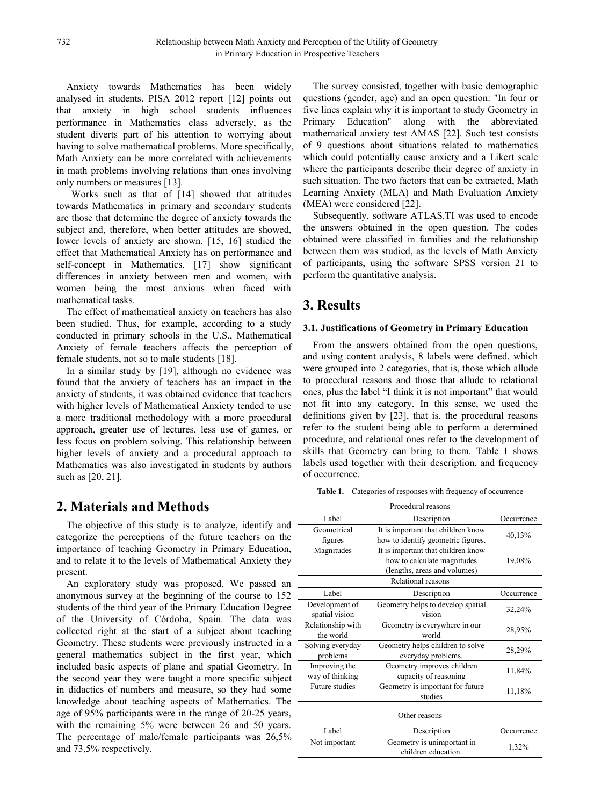Anxiety towards Mathematics has been widely analysed in students. PISA 2012 report [12] points out that anxiety in high school students influences performance in Mathematics class adversely, as the student diverts part of his attention to worrying about having to solve mathematical problems. More specifically, Math Anxiety can be more correlated with achievements in math problems involving relations than ones involving only numbers or measures [13].

Works such as that of [14] showed that attitudes towards Mathematics in primary and secondary students are those that determine the degree of anxiety towards the subject and, therefore, when better attitudes are showed, lower levels of anxiety are shown. [15, 16] studied the effect that Mathematical Anxiety has on performance and self-concept in Mathematics. [17] show significant differences in anxiety between men and women, with women being the most anxious when faced with mathematical tasks.

The effect of mathematical anxiety on teachers has also been studied. Thus, for example, according to a study conducted in primary schools in the U.S., Mathematical Anxiety of female teachers affects the perception of female students, not so to male students [18].

In a similar study by [19], although no evidence was found that the anxiety of teachers has an impact in the anxiety of students, it was obtained evidence that teachers with higher levels of Mathematical Anxiety tended to use a more traditional methodology with a more procedural approach, greater use of lectures, less use of games, or less focus on problem solving. This relationship between higher levels of anxiety and a procedural approach to Mathematics was also investigated in students by authors such as [20, 21].

# **2. Materials and Methods**

The objective of this study is to analyze, identify and categorize the perceptions of the future teachers on the importance of teaching Geometry in Primary Education, and to relate it to the levels of Mathematical Anxiety they present.

An exploratory study was proposed. We passed an anonymous survey at the beginning of the course to 152 students of the third year of the Primary Education Degree of the University of Córdoba, Spain. The data was collected right at the start of a subject about teaching Geometry. These students were previously instructed in a general mathematics subject in the first year, which included basic aspects of plane and spatial Geometry. In the second year they were taught a more specific subject in didactics of numbers and measure, so they had some knowledge about teaching aspects of Mathematics. The age of 95% participants were in the range of 20-25 years, with the remaining 5% were between 26 and 50 years. The percentage of male/female participants was 26,5% and 73,5% respectively.

The survey consisted, together with basic demographic questions (gender, age) and an open question: "In four or five lines explain why it is important to study Geometry in Primary Education" along with the abbreviated mathematical anxiety test AMAS [22]. Such test consists of 9 questions about situations related to mathematics which could potentially cause anxiety and a Likert scale where the participants describe their degree of anxiety in such situation. The two factors that can be extracted, Math Learning Anxiety (MLA) and Math Evaluation Anxiety (MEA) were considered [22].

Subsequently, software ATLAS.TI was used to encode the answers obtained in the open question. The codes obtained were classified in families and the relationship between them was studied, as the levels of Math Anxiety of participants, using the software SPSS version 21 to perform the quantitative analysis.

# **3. Results**

#### **3.1. Justifications ofGeometry in Primary Education**

From the answers obtained from the open questions, and using content analysis, 8 labels were defined, which were grouped into 2 categories, that is, those which allude to procedural reasons and those that allude to relational ones, plus the label "I think it is not important" that would not fit into any category. In this sense, we used the definitions given by [23], that is, the procedural reasons refer to the student being able to perform a determined procedure, and relational ones refer to the development of skills that Geometry can bring to them. Table 1 shows labels used together with their description, and frequency of occurrence.

**Table 1.** Categories of responses with frequency of occurrence

|                                  | Procedural reasons                                                       |            |  |
|----------------------------------|--------------------------------------------------------------------------|------------|--|
| Label                            | Description                                                              | Occurrence |  |
| Geometrical<br>figures           | It is important that children know<br>how to identify geometric figures. | 40,13%     |  |
| Magnitudes                       | It is important that children know                                       |            |  |
|                                  | how to calculate magnitudes                                              | 19,08%     |  |
|                                  | (lengths, areas and volumes)                                             |            |  |
|                                  | Relational reasons                                                       |            |  |
| Label                            | Description                                                              | Occurrence |  |
| Development of<br>spatial vision | Geometry helps to develop spatial<br>vision                              | 32,24%     |  |
| Relationship with<br>the world   | Geometry is everywhere in our<br>world                                   | 28,95%     |  |
| Solving everyday<br>problems     | Geometry helps children to solve<br>everyday problems.                   | 28,29%     |  |
| Improving the<br>way of thinking | Geometry improves children<br>capacity of reasoning                      | 11,84%     |  |
| Future studies                   | Geometry is important for future<br>studies                              | 11,18%     |  |
|                                  | Other reasons                                                            |            |  |
| Label                            | Description                                                              | Occurrence |  |
| Not important                    | Geometry is unimportant in<br>children education.                        | 1,32%      |  |
|                                  |                                                                          |            |  |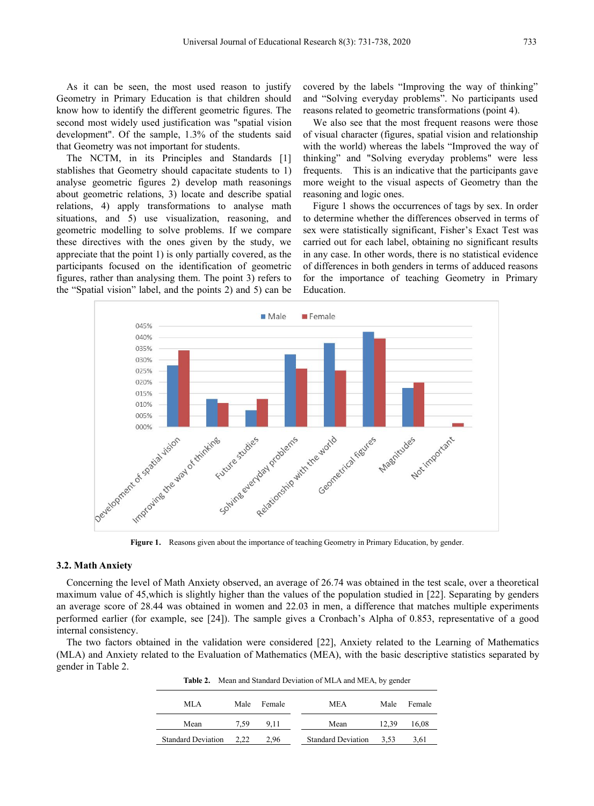As it can be seen, the most used reason to justify Geometry in Primary Education is that children should know how to identify the different geometric figures. The second most widely used justification was "spatial vision development". Of the sample, 1.3% of the students said that Geometry was not important for students.

The NCTM, in its Principles and Standards [1] stablishes that Geometry should capacitate students to 1) analyse geometric figures 2) develop math reasonings about geometric relations, 3) locate and describe spatial relations, 4) apply transformations to analyse math situations, and 5) use visualization, reasoning, and geometric modelling to solve problems. If we compare these directives with the ones given by the study, we appreciate that the point 1) is only partially covered, as the participants focused on the identification of geometric figures, rather than analysing them. The point 3) refers to the "Spatial vision" label, and the points 2) and 5) can be

covered by the labels "Improving the way of thinking" and "Solving everyday problems". No participants used reasons related to geometric transformations (point 4).

We also see that the most frequent reasons were those of visual character (figures, spatial vision and relationship with the world) whereas the labels "Improved the way of thinking" and "Solving everyday problems" were less frequents. This is an indicative that the participants gave more weight to the visual aspects of Geometry than the reasoning and logic ones.

Figure 1 shows the occurrences of tags by sex. In order to determine whether the differences observed in terms of sex were statistically significant, Fisher's Exact Test was carried out for each label, obtaining no significant results in any case. In other words, there is no statistical evidence of differences in both genders in terms of adduced reasons for the importance of teaching Geometry in Primary Education.



**Figure 1.** Reasons given about the importance of teaching Geometry in Primary Education, by gender.

#### **3.2. Math Anxiety**

Concerning the level of Math Anxiety observed, an average of 26.74 was obtained in the testscale, over a theoretical maximum value of 45,which is slightly higher than the values of the population studied in [22]. Separating by genders an average score of 28.44 was obtained in women and 22.03 in men, a difference that matches multiple experiments performed earlier (for example, see [24]). The sample gives a Cronbach's Alpha of 0.853, representative of a good internal consistency.

The two factors obtained in the validation were considered [22], Anxiety related to the Learning of Mathematics (MLA) and Anxiety related to the Evaluation of Mathematics (MEA), with the basic descriptive statistics separated by gender in Table 2.

**Table 2.** Mean and Standard Deviation of MLA and MEA, by gender

| MLA                       |      | Male Female | <b>MEA</b>                | Male  | Female |
|---------------------------|------|-------------|---------------------------|-------|--------|
| Mean                      | 7.59 | 9.11        | Mean                      | 12.39 | 16.08  |
| <b>Standard Deviation</b> | 2.22 | 2.96        | <b>Standard Deviation</b> | 3.53  | 3.61   |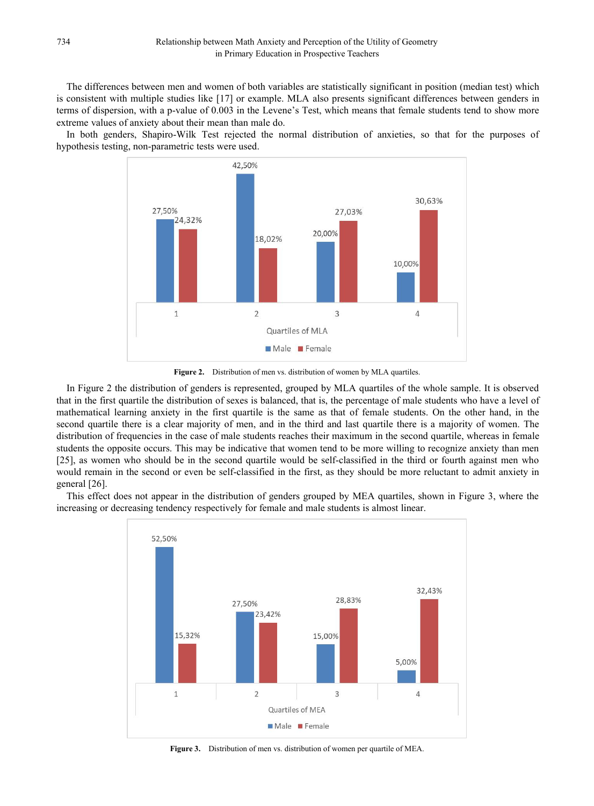The differences between men and women of both variables are statistically significant in position (median test) which is consistent with multiple studies like [17] or example. MLA also presents significant differences between genders in terms of dispersion, with a p-value of 0.003 in the Levene's Test, which means that female students tend to show more extreme values of anxiety about their mean than male do.

In both genders, Shapiro-Wilk Test rejected the normal distribution of anxieties, so that for the purposes of hypothesis testing, non-parametric tests were used.



**Figure 2.** Distribution of men vs. distribution of women by MLA quartiles.

In Figure 2 the distribution of genders is represented, grouped by MLA quartiles of the whole sample. It is observed that in the first quartile the distribution of sexes is balanced, that is, the percentage of male students who have a level of mathematical learning anxiety in the first quartile is the same as thatof female students. On the other hand, in the second quartile there is a clear majority of men, and in the third and last quartile there is a majority of women. The distribution of frequencies in the case of male students reaches their maximum in the second quartile, whereas in female students the opposite occurs. This may be indicative that women tend to be more willing to recognize anxiety than men [25], as women who should be in the second quartile would be self-classified in the third or fourth against men who would remain in the second or even be self-classified in the first, as they should be more reluctant to admit anxiety in general [26].

This effect does not appear in the distribution of genders grouped by MEA quartiles, shown in Figure 3, where the increasing or decreasing tendency respectively for female and male students is almost linear.



**Figure 3.** Distribution of men vs. distribution of women per quartile of MEA.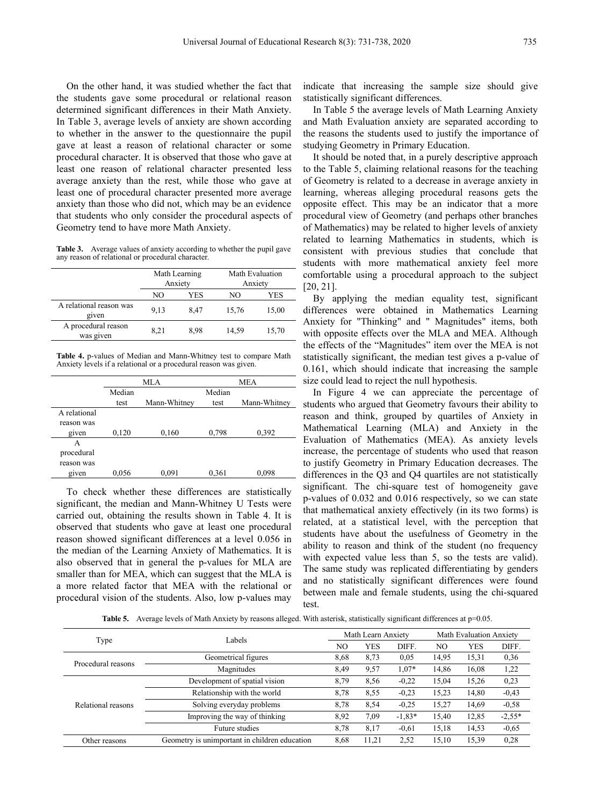On the other hand, it was studied whether the fact that the students gave some procedural or relational reason determined significant differences in their Math Anxiety. In Table 3, average levels of anxiety are shown according to whether in the answer to the questionnaire the pupil gave at least a reason of relational character or some procedural character. It is observed that those who gave at least one reason of relational character presented less average anxiety than the rest, while those who gave at least one of procedural character presented more average anxiety than those who did not, which may be an evidence that students who only consider the procedural aspects of Geometry tend to have more Math Anxiety.

Table 3. Average values of anxiety according to whether the pupil gave any reason of relational or procedural character

|                                  |      | Math Learning<br>Anxiety | Math Evaluation<br>Anxiety |       |  |  |
|----------------------------------|------|--------------------------|----------------------------|-------|--|--|
|                                  | NO   | YES                      | NO                         | YES   |  |  |
| A relational reason was<br>given | 9,13 | 8.47                     | 15,76                      | 15,00 |  |  |
| A procedural reason<br>was given | 8.21 | 8.98                     | 14.59                      | 15,70 |  |  |
|                                  |      |                          |                            |       |  |  |

**Table 4.** p-values of Median and Mann-Whitney test to compare Math Anxiety levels if a relational or a procedural reason was given.

|              | MLA    |              |        | MEA          | size could le |  |
|--------------|--------|--------------|--------|--------------|---------------|--|
|              | Median |              | Median |              | In Figure     |  |
|              | test   | Mann-Whitney | test   | Mann-Whitney | students wh   |  |
| A relational |        |              |        |              | reason and    |  |
| reason was   |        |              |        |              | Mathematic    |  |
| given        | 0,120  | 0,160        | 0,798  | 0,392        |               |  |
| A            |        |              |        |              | Evaluation    |  |
| procedural   |        |              |        |              | increase, the |  |
| reason was   |        |              |        |              | to justify G  |  |
| given        | 0,056  | 0.091        | 0,361  | 0,098        | differences   |  |

To check whether these differences are statistically significant, the median and Mann-Whitney U Tests were carried out, obtaining the results shown in Table 4. It is observed that students who gave at least one procedural reason showed significant differences at a level 0.056 in the median of the Learning Anxiety of Mathematics. It is also observed that in general the p-values for MLA are smaller than for MEA, which can suggest that the MLA is a more related factor that MEA with the relational or procedural vision of the students. Also, low p-values may

indicate that increasing the sample size should give statistically significant differences.

In Table 5 the average levels of Math Learning Anxiety and Math Evaluation anxiety are separated according to the reasons the students used to justify the importance of studying Geometry in Primary Education.

Math Evaluation comfortable using a procedural approach to the subject Anxiety [20, 21]. It should be noted that, in a purely descriptive approach to the Table 5, claiming relational reasons for the teaching of Geometry is related to a decrease in average anxiety in learning, whereas alleging procedural reasons gets the opposite effect. This may be an indicator that a more procedural view of Geometry (and perhaps other branches of Mathematics) may be related to higher levels of anxiety related to learning Mathematics in students, which is consistent with previous studies that conclude that students with more mathematical anxiety feel more

NO YES NO YES By applying the median equality test, significant 9,13 8,47 15,76 15,00 differences were obtained in Mathematics Learning 8,21 8,98 14,59 15,70 with opposite effects over the MLA and MEA. Although Anxiety for "Thinking" and " Magnitudes" items, both the effects of the "Magnitudes" item over the MEA is not statistically significant, the median test gives a p-value of 0.161, which should indicate that increasing the sample size could lead to reject the null hypothesis.

test Mann-Whitney students who argued that Geometry favours their ability to given  $0.056$   $0.091$   $0.361$   $0.098$  differences in the Q3 and Q4 quartiles are not statistically In Figure 4 we can appreciate the percentage of reason and think, grouped by quartiles of Anxiety in Mathematical Learning (MLA) and Anxiety in the Evaluation of Mathematics (MEA). As anxiety levels increase, the percentage of students who used that reason to justify Geometry in Primary Education decreases. The significant. The chi-square test of homogeneity gave p-values of 0.032 and 0.016 respectively, so we can state that mathematical anxiety effectively (in its two forms) is related, at a statistical level, with the perception that students have about the usefulness of Geometry in the ability to reason and think of the student (no frequency with expected value less than 5, so the tests are valid). The same study was replicated differentiating by genders and no statistically significant differences were found between male and female students, using the chi-squared test.

**Table 5.** Average levels of Math Anxiety by reasons alleged. With asterisk, statistically significant differences at  $p=0.05$ .

| Type               | Labels                                        | Math Learn Anxiety |       |          | <b>Math Evaluation Anxiety</b> |            |          |
|--------------------|-----------------------------------------------|--------------------|-------|----------|--------------------------------|------------|----------|
|                    |                                               | NO                 | YES   | DIFF.    | NO.                            | <b>YES</b> | DIFF.    |
|                    | Geometrical figures                           | 8,68               | 8,73  | 0.05     | 14,95                          | 15,31      | 0,36     |
| Procedural reasons | Magnitudes                                    | 8,49               | 9,57  | $1,07*$  | 14,86                          | 16,08      | 1,22     |
|                    | Development of spatial vision                 | 8,79               | 8,56  | $-0,22$  | 15,04                          | 15,26      | 0,23     |
|                    | Relationship with the world                   | 8,78               | 8,55  | $-0,23$  | 15,23                          | 14,80      | $-0,43$  |
| Relational reasons | Solving everyday problems                     | 8,78               | 8,54  | $-0.25$  | 15,27                          | 14,69      | $-0,58$  |
|                    | Improving the way of thinking                 | 8,92               | 7,09  | $-1,83*$ | 15,40                          | 12,85      | $-2,55*$ |
|                    | Future studies                                | 8,78               | 8,17  | $-0,61$  | 15,18                          | 14,53      | $-0,65$  |
| Other reasons      | Geometry is unimportant in children education | 8,68               | 11,21 | 2,52     | 15,10                          | 15,39      | 0.28     |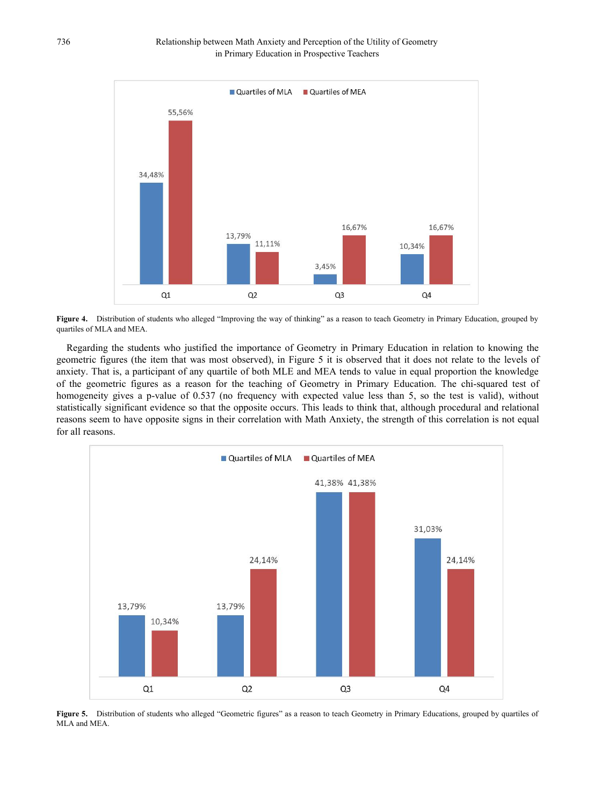

**Figure 4.** Distribution of students who alleged "Improving the way of thinking" as a reason to teach Geometry in Primary Education, grouped by quartiles of MLA and MEA.

Regarding the students who justified the importance of Geometry in Primary Education in relation to knowing the geometric figures (the item that was most observed), in Figure 5 it is observed that it does not relate to the levels of anxiety. That is, a participant of any quartile of both MLE and MEA tends to value in equal proportion the knowledge of the geometric figures as a reason for the teaching of Geometry in Primary Education.The chi-squared test of homogeneity gives a p-value of 0.537 (no frequency with expected value less than 5, so the test is valid), without statistically significant evidence so that the opposite occurs. This leads to think that, although procedural and relational reasons seem to have opposite signs in their correlation with Math Anxiety, the strength of this correlation is not equal for all reasons.



Figure 5. Distribution of students who alleged "Geometric figures" as a reason to teach Geometry in Primary Educations, grouped by quartiles of MLA and MEA.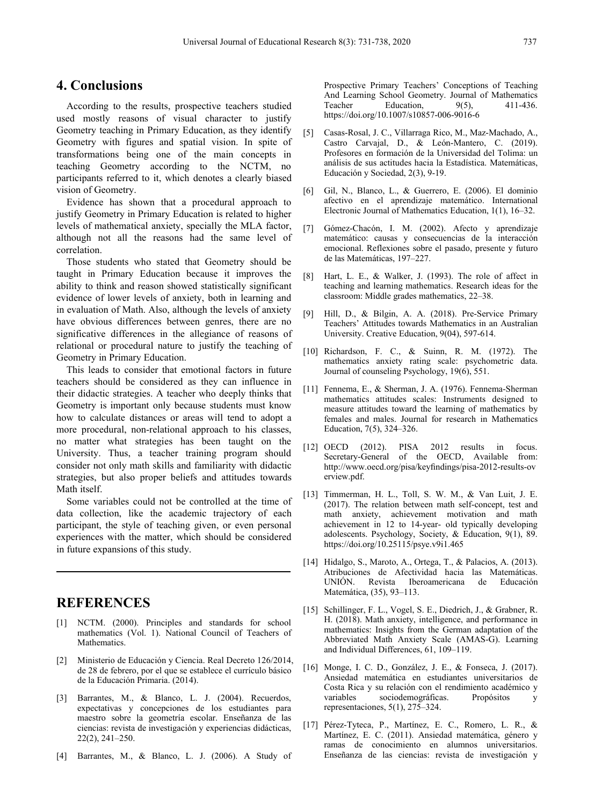### **4. Conclusions**

According to the results, prospective teachers studied used mostly reasons of visual character to justify Geometry teaching in Primary Education, as they identify [5] Geometry with figures and spatial vision. In spite of transformations being one of the main concepts in teaching Geometry according to the NCTM, no participants referred to it, which denotes a clearly biased vision of Geometry.

Evidence has shown that a procedural approach to justify Geometry in Primary Education is related to higher levels of mathematical anxiety, specially the MLA factor, although not all the reasons had the same level of correlation.

Those students who stated that Geometry should be taught in Primary Education because it improves the [8] ability to think and reason showed statistically significant evidence of lower levels of anxiety, both in learning and in evaluation of Math. Also, although the levels of anxiety  $\begin{bmatrix} 9 \end{bmatrix}$ have obvious differences between genres, there are no significative differences in the allegiance of reasons of relational or procedural nature to justify the teaching of Geometry in Primary Education.

This leads to consider that emotional factors in future teachers should be considered as they can influence in their didactic strategies. A teacher who deeply thinks that Geometry is important only because students must know how to calculate distances or areas will tend to adopt a more procedural, non-relational approach to his classes, no matter what strategies has been taught on the [12] OECD (2012). University. Thus, a teacher training program should consider not only math skills and familiarity with didactic strategies, but also proper beliefs and attitudes towards Math itself.

Some variables could not be controlled at the time of data collection, like the academic trajectory of each participant, the style of teaching given, or even personal experiences with the matter, which should be considered in future expansions of this study.

# **REFERENCES**

- [1] NCTM. (2000). Principles and standards for school mathematics (Vol. 1). National Council of Teachers of Mathematics.
- [2] Ministerio de Educación y Ciencia. Real Decreto 126/2014, de 28 de febrero, por el que se establece el currículo básico de la Educación Primaria. (2014).
- [3] Barrantes, M., & Blanco, L. J. (2004). Recuerdos, expectativas y concepciones de los estudiantes para maestro sobre la geometría escolar.Enseñanza de las ciencias: revista de investigación y experiencias didácticas, 22(2), 241–250.
- [4] Barrantes, M., & Blanco, L. J. (2006). A Study of

Prospective Primary Teachers' Conceptions of Teaching And Learning School Geometry. Journal of Mathematics<br>Teacher Education. 9(5). 411-436. Education,  $9(5)$ , https://doi.org/10.1007/s10857-006-9016-6

- [5] Casas-Rosal, J. C., Villarraga Rico, M., Maz-Machado, A., Castro Carvajal, D., & León-Mantero, C. (2019). Profesores en formación de la Universidad del Tolima: un análisis de sus actitudes hacia la Estadística. Matemáticas, Educación y Sociedad, 2(3), 9-19.
- [6] Gil, N., Blanco, L., & Guerrero, E. (2006). El dominio afectivo en el aprendizaje matemático. International Electronic Journal of Mathematics Education, 1(1), 16–32.
- [7] Gómez-Chacón, I. M. (2002). Afecto y aprendizaje matemático: causas y consecuencias de la interacción emocional. Reflexiones sobre el pasado, presente y futuro de las Matemáticas, 197–227.
- Hart, L. E., & Walker, J. (1993). The role of affect in teaching and learning mathematics. Research ideas for the classroom: Middle grades mathematics, 22–38.
- Hill, D., & Bilgin, A. A. (2018). Pre-Service Primary Teachers' Attitudes towards Mathematics in an Australian University. Creative Education, 9(04), 597-614.
- [10] Richardson, F. C., & Suinn, R. M. (1972). The mathematics anxiety rating scale: psychometric data. Journal of counseling Psychology, 19(6), 551.
- [11] Fennema, E., & Sherman, J. A. (1976). Fennema-Sherman mathematics attitudes scales: Instruments designed to measure attitudes toward the learning of mathematics by females and males. Journal for research in Mathematics Education, 7(5), 324–326.
- PISA 2012 results in focus. Secretary-General of the OECD, Available from: http://www.oecd.org/pisa/keyfindings/pisa-2012-results-ov erview.pdf.
- [13] Timmerman, H. L., Toll, S. W. M., & Van Luit, J. E. (2017). The relation between math self-concept, test and math anxiety, achievement motivation and math achievement in 12 to 14-year- old typically developing adolescents. Psychology, Society, & Education, 9(1), 89. https://doi.org/10.25115/psye.v9i1.465
- [14] Hidalgo, S., Maroto, A., Ortega, T., & Palacios, A. (2013). Atribuciones de Afectividad hacia las Matemáticas. UNIÓN. Revista Iberoamericana de Educación Matemática, (35), 93–113.
- [15] Schillinger, F. L., Vogel, S. E., Diedrich, J., & Grabner, R. H. (2018). Math anxiety, intelligence, and performance in mathematics: Insights from the German adaptation of the Abbreviated Math Anxiety Scale (AMAS-G). Learning and Individual Differences, 61, 109–119.
- [16] Monge, I. C. D., González, J. E., & Fonseca, J. (2017). Ansiedad matemática en estudiantes universitarios de Costa Rica y su relación con el rendimiento académico y sociodemográficas. Propósitos y representaciones, 5(1), 275–324.
- [17] Pérez-Tyteca, P., Martínez, E. C., Romero, L. R., & Martínez, E. C. (2011). Ansiedad matemática, género y ramas de conocimiento en alumnos universitarios. Enseñanza de las ciencias: revista de investigación y